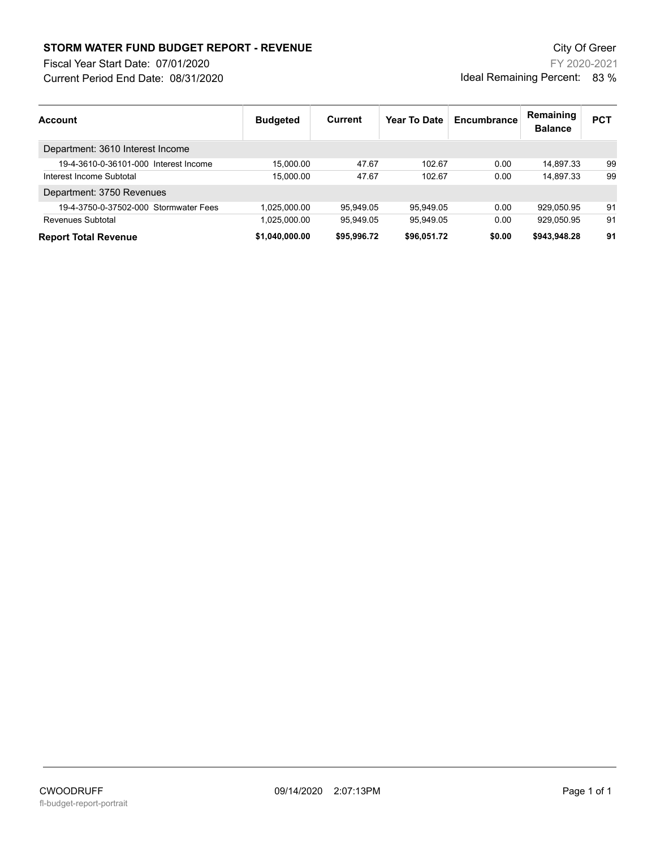## **STORM WATER FUND BUDGET REPORT - REVENUE City Of Green** City Of Green

Fiscal Year Start Date: 07/01/2020

Current Period End Date: 08/31/2020

FY 2020-2021 Ideal Remaining Percent: 83 %

| Account                               | <b>Budgeted</b> | Current     | Year To Date | Encumbrance | Remaining<br><b>Balance</b> | <b>PCT</b> |
|---------------------------------------|-----------------|-------------|--------------|-------------|-----------------------------|------------|
| Department: 3610 Interest Income      |                 |             |              |             |                             |            |
| 19-4-3610-0-36101-000 Interest Income | 15.000.00       | 47.67       | 102.67       | 0.00        | 14.897.33                   | 99         |
| Interest Income Subtotal              | 15.000.00       | 47.67       | 102.67       | 0.00        | 14.897.33                   | 99         |
| Department: 3750 Revenues             |                 |             |              |             |                             |            |
| 19-4-3750-0-37502-000 Stormwater Fees | 1.025.000.00    | 95.949.05   | 95.949.05    | 0.00        | 929.050.95                  | 91         |
| Revenues Subtotal                     | 1.025.000.00    | 95.949.05   | 95.949.05    | 0.00        | 929.050.95                  | 91         |
| <b>Report Total Revenue</b>           | \$1.040.000.00  | \$95,996.72 | \$96.051.72  | \$0.00      | \$943.948.28                | 91         |